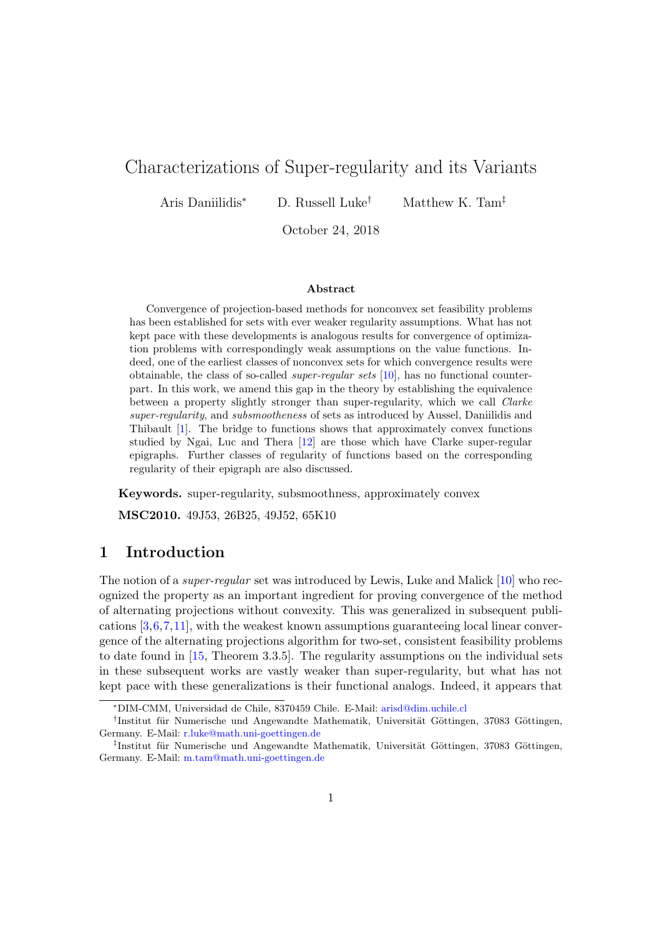# Characterizations of Super-regularity and its Variants

Aris Daniilidis<sup>∗</sup> D. Russell Luke† Matthew K. Tam‡

October 24, 2018

#### Abstract

Convergence of projection-based methods for nonconvex set feasibility problems has been established for sets with ever weaker regularity assumptions. What has not kept pace with these developments is analogous results for convergence of optimization problems with correspondingly weak assumptions on the value functions. Indeed, one of the earliest classes of nonconvex sets for which convergence results were obtainable, the class of so-called super-regular sets [\[10\]](#page-13-0), has no functional counterpart. In this work, we amend this gap in the theory by establishing the equivalence between a property slightly stronger than super-regularity, which we call Clarke super-regularity, and subsmootheness of sets as introduced by Aussel, Daniilidis and Thibault [\[1\]](#page-13-1). The bridge to functions shows that approximately convex functions studied by Ngai, Luc and Thera [\[12\]](#page-13-2) are those which have Clarke super-regular epigraphs. Further classes of regularity of functions based on the corresponding regularity of their epigraph are also discussed.

Keywords. super-regularity, subsmoothness, approximately convex

MSC2010. 49J53, 26B25, 49J52, 65K10

# 1 Introduction

The notion of a *super-regular* set was introduced by Lewis, Luke and Malick [\[10\]](#page-13-0) who recognized the property as an important ingredient for proving convergence of the method of alternating projections without convexity. This was generalized in subsequent publications [\[3,](#page-13-3)[6,](#page-13-4)[7,](#page-13-5)[11\]](#page-13-6), with the weakest known assumptions guaranteeing local linear convergence of the alternating projections algorithm for two-set, consistent feasibility problems to date found in [\[15,](#page-14-0) Theorem 3.3.5]. The regularity assumptions on the individual sets in these subsequent works are vastly weaker than super-regularity, but what has not kept pace with these generalizations is their functional analogs. Indeed, it appears that

<sup>∗</sup>DIM-CMM, Universidad de Chile, 8370459 Chile. E-Mail: [arisd@dim.uchile.cl](mailto:arisd@dim.uchile.cl)

<sup>&</sup>lt;sup>†</sup>Institut für Numerische und Angewandte Mathematik, Universität Göttingen, 37083 Göttingen, Germany. E-Mail: [r.luke@math.uni-goettingen.de](mailto:r.luke@math.uni-goettingen.de)

<sup>&</sup>lt;sup>‡</sup>Institut für Numerische und Angewandte Mathematik, Universität Göttingen, 37083 Göttingen, Germany. E-Mail: [m.tam@math.uni-goettingen.de](mailto:m.tam@math.uni-goettingen.de)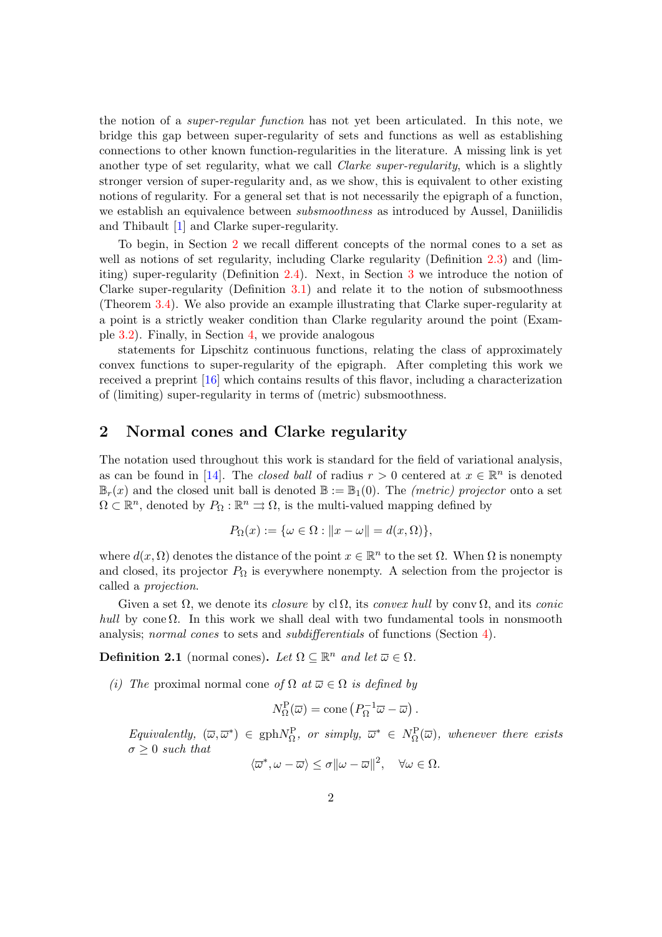the notion of a super-regular function has not yet been articulated. In this note, we bridge this gap between super-regularity of sets and functions as well as establishing connections to other known function-regularities in the literature. A missing link is yet another type of set regularity, what we call *Clarke super-regularity*, which is a slightly stronger version of super-regularity and, as we show, this is equivalent to other existing notions of regularity. For a general set that is not necessarily the epigraph of a function, we establish an equivalence between *subsmoothness* as introduced by Aussel, Daniilidis and Thibault [\[1\]](#page-13-1) and Clarke super-regularity.

To begin, in Section [2](#page-1-0) we recall different concepts of the normal cones to a set as well as notions of set regularity, including Clarke regularity (Definition [2.3\)](#page-3-0) and (limiting) super-regularity (Definition [2.4\)](#page-3-1). Next, in Section [3](#page-4-0) we introduce the notion of Clarke super-regularity (Definition [3.1\)](#page-4-1) and relate it to the notion of subsmoothness (Theorem [3.4\)](#page-6-0). We also provide an example illustrating that Clarke super-regularity at a point is a strictly weaker condition than Clarke regularity around the point (Example [3.2\)](#page-5-0). Finally, in Section [4,](#page-8-0) we provide analogous

statements for Lipschitz continuous functions, relating the class of approximately convex functions to super-regularity of the epigraph. After completing this work we received a preprint [\[16\]](#page-14-1) which contains results of this flavor, including a characterization of (limiting) super-regularity in terms of (metric) subsmoothness.

# <span id="page-1-0"></span>2 Normal cones and Clarke regularity

The notation used throughout this work is standard for the field of variational analysis, as can be found in [\[14\]](#page-13-7). The *closed ball* of radius  $r > 0$  centered at  $x \in \mathbb{R}^n$  is denoted  $\mathbb{B}_r(x)$  and the closed unit ball is denoted  $\mathbb{B} := \mathbb{B}_1(0)$ . The *(metric) projector* onto a set  $\Omega \subset \mathbb{R}^n$ , denoted by  $P_{\Omega}: \mathbb{R}^n \rightrightarrows \Omega$ , is the multi-valued mapping defined by

$$
P_{\Omega}(x) := \{ \omega \in \Omega : ||x - \omega|| = d(x, \Omega) \},\
$$

where  $d(x, \Omega)$  denotes the distance of the point  $x \in \mathbb{R}^n$  to the set  $\Omega$ . When  $\Omega$  is nonempty and closed, its projector  $P_{\Omega}$  is everywhere nonempty. A selection from the projector is called a projection.

Given a set  $\Omega$ , we denote its *closure* by cl $\Omega$ , its *convex hull* by conv $\Omega$ , and its *conic* hull by cone  $\Omega$ . In this work we shall deal with two fundamental tools in nonsmooth analysis; normal cones to sets and subdifferentials of functions (Section [4\)](#page-8-0).

<span id="page-1-1"></span>**Definition 2.1** (normal cones). Let  $\Omega \subseteq \mathbb{R}^n$  and let  $\overline{\omega} \in \Omega$ .

(i) The proximal normal cone of  $\Omega$  at  $\overline{\omega} \in \Omega$  is defined by

$$
N_{\Omega}^{\mathcal{P}}(\overline{\omega}) = \text{cone}\left(P_{\Omega}^{-1}\overline{\omega} - \overline{\omega}\right).
$$

Equivalently,  $(\overline{\omega}, \overline{\omega}^*) \in \text{gph}N_{\Omega}^{\text{P}}$ , or simply,  $\overline{\omega}^* \in N_{\Omega}^{\text{P}}(\overline{\omega})$ , whenever there exists  $\sigma > 0$  such that

$$
\langle \overline{\omega}^*, \omega - \overline{\omega} \rangle \le \sigma ||\omega - \overline{\omega}||^2, \quad \forall \omega \in \Omega.
$$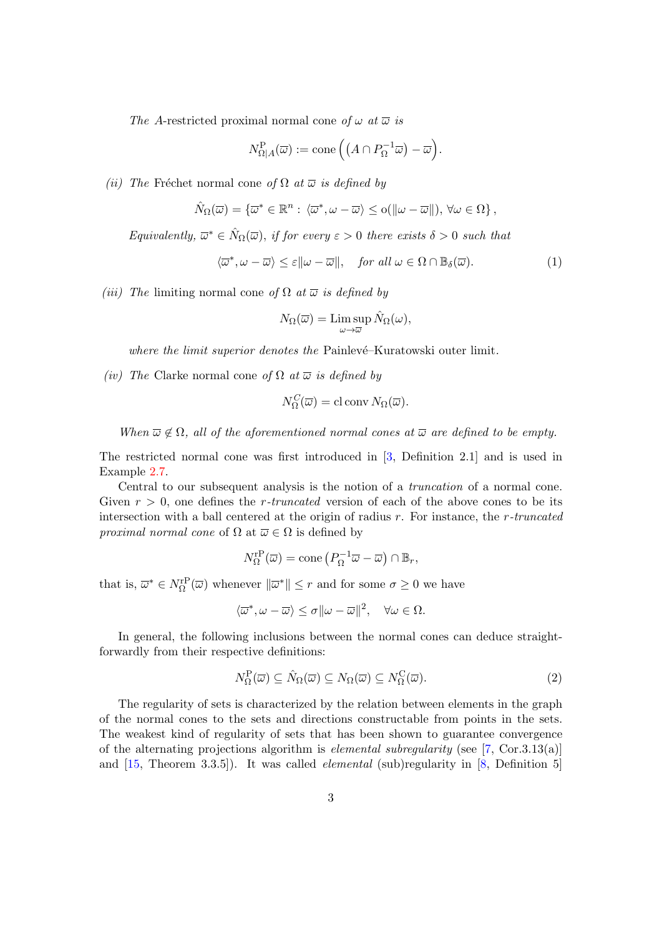The A-restricted proximal normal cone of  $\omega$  at  $\overline{\omega}$  is

$$
N^{\mathcal{P}}_{\Omega|A}(\overline{\omega}) := \mathrm{cone}\left( \left( A \cap P_{\Omega}^{-1} \overline{\omega} \right) - \overline{\omega} \right).
$$

(ii) The Fréchet normal cone of  $\Omega$  at  $\overline{\omega}$  is defined by

$$
\hat{N}_{\Omega}(\overline{\omega}) = \{\overline{\omega}^* \in \mathbb{R}^n : \langle \overline{\omega}^*, \omega - \overline{\omega} \rangle \leq o(||\omega - \overline{\omega}||), \forall \omega \in \Omega \},\
$$

Equivalently,  $\overline{\omega}^* \in \widehat{N}_{\Omega}(\overline{\omega})$ , if for every  $\varepsilon > 0$  there exists  $\delta > 0$  such that

$$
\langle \overline{\omega}^*, \omega - \overline{\omega} \rangle \le \varepsilon ||\omega - \overline{\omega}||, \quad \text{for all } \omega \in \Omega \cap \mathbb{B}_{\delta}(\overline{\omega}). \tag{1}
$$

(iii) The limiting normal cone of  $\Omega$  at  $\overline{\omega}$  is defined by

$$
N_{\Omega}(\overline{\omega}) = \limsup_{\omega \to \overline{\omega}} \hat{N}_{\Omega}(\omega),
$$

where the limit superior denotes the Painlevé–Kuratowski outer limit.

(iv) The Clarke normal cone of  $\Omega$  at  $\overline{\omega}$  is defined by

$$
N_{\Omega}^{C}(\overline{\omega}) = \text{cl} \operatorname{conv} N_{\Omega}(\overline{\omega}).
$$

When  $\overline{\omega} \notin \Omega$ , all of the aforementioned normal cones at  $\overline{\omega}$  are defined to be empty.

The restricted normal cone was first introduced in [\[3,](#page-13-3) Definition 2.1] and is used in Example [2.7.](#page-4-2)

Central to our subsequent analysis is the notion of a truncation of a normal cone. Given  $r > 0$ , one defines the *r*-truncated version of each of the above cones to be its intersection with a ball centered at the origin of radius  $r$ . For instance, the  $r$ -truncated *proximal normal cone* of  $\Omega$  at  $\overline{\omega} \in \Omega$  is defined by

$$
N_{\Omega}^{\mathrm{rP}}(\overline{\omega}) = \mathrm{cone}\left(P_{\Omega}^{-1}\overline{\omega} - \overline{\omega}\right) \cap \mathbb{B}_r,
$$

that is,  $\overline{\omega}^* \in N_{\Omega}^{\text{rP}}(\overline{\omega})$  whenever  $\|\overline{\omega}^*\| \leq r$  and for some  $\sigma \geq 0$  we have

$$
\langle \overline{\omega}^*, \omega - \overline{\omega} \rangle \le \sigma ||\omega - \overline{\omega}||^2, \quad \forall \omega \in \Omega.
$$

In general, the following inclusions between the normal cones can deduce straightforwardly from their respective definitions:

$$
N_{\Omega}^{\mathcal{P}}(\overline{\omega}) \subseteq \hat{N}_{\Omega}(\overline{\omega}) \subseteq N_{\Omega}(\overline{\omega}) \subseteq N_{\Omega}^{\mathcal{C}}(\overline{\omega}).
$$
\n(2)

The regularity of sets is characterized by the relation between elements in the graph of the normal cones to the sets and directions constructable from points in the sets. The weakest kind of regularity of sets that has been shown to guarantee convergence of the alternating projections algorithm is *elemental subregularity* (see  $[7, \text{Cor.3.13(a)}]$  $[7, \text{Cor.3.13(a)}]$ ) and  $[15,$  Theorem 3.3.5]). It was called *elemental* (sub)regularity in  $[8,$  Definition 5]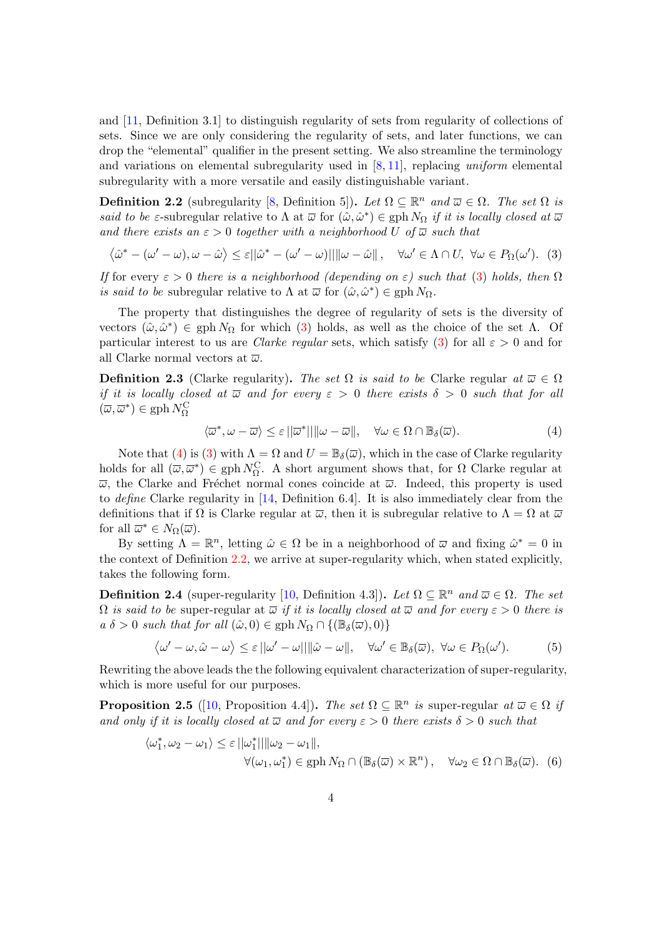and [\[11,](#page-13-6) Definition 3.1] to distinguish regularity of sets from regularity of collections of sets. Since we are only considering the regularity of sets, and later functions, we can drop the "elemental" qualifier in the present setting. We also streamline the terminology and variations on elemental subregularity used in  $[8, 11]$  $[8, 11]$  $[8, 11]$ , replacing uniform elemental subregularity with a more versatile and easily distinguishable variant.

<span id="page-3-4"></span>**Definition 2.2** (subregularity [\[8,](#page-13-8) Definition 5]). Let  $\Omega \subseteq \mathbb{R}^n$  and  $\overline{\omega} \in \Omega$ . The set  $\Omega$  is said to be  $\varepsilon$ -subregular relative to  $\Lambda$  at  $\overline{\omega}$  for  $(\hat{\omega}, \hat{\omega}^*) \in \text{gph } N_{\Omega}$  if it is locally closed at  $\overline{\omega}$ and there exists an  $\varepsilon > 0$  together with a neighborhood U of  $\overline{\omega}$  such that

<span id="page-3-2"></span>
$$
\langle \hat{\omega}^* - (\omega' - \omega), \omega - \hat{\omega} \rangle \le \varepsilon ||\hat{\omega}^* - (\omega' - \omega)|| ||\omega - \hat{\omega}||, \quad \forall \omega' \in \Lambda \cap U, \ \forall \omega \in P_{\Omega}(\omega'). \tag{3}
$$

If for every  $\varepsilon > 0$  there is a neighborhood (depending on  $\varepsilon$ ) such that [\(3\)](#page-3-2) holds, then  $\Omega$ *is said to be* subregular relative to  $\Lambda$  at  $\overline{\omega}$  for  $(\hat{\omega}, \hat{\omega}^*) \in \text{gph } N_{\Omega}$ .

The property that distinguishes the degree of regularity of sets is the diversity of vectors  $(ω, ω^*)$  ∈ gph  $NΩ$  for which [\(3\)](#page-3-2) holds, as well as the choice of the set Λ. Of particular interest to us are *Clarke regular* sets, which satisfy [\(3\)](#page-3-2) for all  $\varepsilon > 0$  and for all Clarke normal vectors at  $\overline{\omega}$ .

<span id="page-3-0"></span>**Definition 2.3** (Clarke regularity). The set  $\Omega$  is said to be Clarke regular at  $\overline{\omega} \in \Omega$ if it is locally closed at  $\overline{\omega}$  and for every  $\varepsilon > 0$  there exists  $\delta > 0$  such that for all  $(\overline{\omega},\overline{\omega}^*)\in \mathrm{gph}\, N_\Omega^\mathrm{C}$ 

<span id="page-3-3"></span>
$$
\langle \overline{\omega}^*, \omega - \overline{\omega} \rangle \le \varepsilon ||\overline{\omega}^*|| ||\omega - \overline{\omega}||, \quad \forall \omega \in \Omega \cap \mathbb{B}_{\delta}(\overline{\omega}). \tag{4}
$$

Note that [\(4\)](#page-3-3) is [\(3\)](#page-3-2) with  $\Lambda = \Omega$  and  $U = \mathbb{B}_{\delta}(\overline{\omega})$ , which in the case of Clarke regularity holds for all  $(\overline{\omega}, \overline{\omega}^*) \in \text{gph } N_{\Omega}^{\mathbb{C}}$ . A short argument shows that, for  $\Omega$  Clarke regular at  $\overline{\omega}$ , the Clarke and Fréchet normal cones coincide at  $\overline{\omega}$ . Indeed, this property is used to define Clarke regularity in [\[14,](#page-13-7) Definition 6.4]. It is also immediately clear from the definitions that if  $\Omega$  is Clarke regular at  $\overline{\omega}$ , then it is subregular relative to  $\Lambda = \Omega$  at  $\overline{\omega}$ for all  $\overline{\omega}^* \in N_{\Omega}(\overline{\omega})$ .

By setting  $\Lambda = \mathbb{R}^n$ , letting  $\hat{\omega} \in \Omega$  be in a neighborhood of  $\overline{\omega}$  and fixing  $\hat{\omega}^* = 0$  in the context of Definition [2.2,](#page-3-4) we arrive at super-regularity which, when stated explicitly, takes the following form.

<span id="page-3-1"></span>**Definition 2.4** (super-regularity [\[10,](#page-13-0) Definition 4.3]). Let  $\Omega \subseteq \mathbb{R}^n$  and  $\overline{\omega} \in \Omega$ . The set  $\Omega$  is said to be super-regular at  $\overline{\omega}$  if it is locally closed at  $\overline{\omega}$  and for every  $\varepsilon > 0$  there is  $a \delta > 0$  such that for all  $(\hat{\omega}, 0) \in \text{gph } N_{\Omega} \cap \{(\mathbb{B}_{\delta}(\overline{\omega}), 0)\}\$ 

$$
\langle \omega' - \omega, \hat{\omega} - \omega \rangle \le \varepsilon ||\omega' - \omega|| ||\hat{\omega} - \omega||, \quad \forall \omega' \in \mathbb{B}_{\delta}(\overline{\omega}), \ \forall \omega \in P_{\Omega}(\omega'). \tag{5}
$$

Rewriting the above leads the the following equivalent characterization of super-regularity, which is more useful for our purposes.

**Proposition 2.5** ([\[10,](#page-13-0) Proposition 4.4]). The set  $\Omega \subseteq \mathbb{R}^n$  is super-regular at  $\overline{\omega} \in \Omega$  if and only if it is locally closed at  $\overline{\omega}$  and for every  $\varepsilon > 0$  there exists  $\delta > 0$  such that

<span id="page-3-5"></span>
$$
\langle \omega_1^*, \omega_2 - \omega_1 \rangle \le \varepsilon ||\omega_1^*|| ||\omega_2 - \omega_1||,
$$
  

$$
\forall (\omega_1, \omega_1^*) \in \text{gph } N_{\Omega} \cap (\mathbb{B}_{\delta}(\overline{\omega}) \times \mathbb{R}^n), \quad \forall \omega_2 \in \Omega \cap \mathbb{B}_{\delta}(\overline{\omega}).
$$
 (6)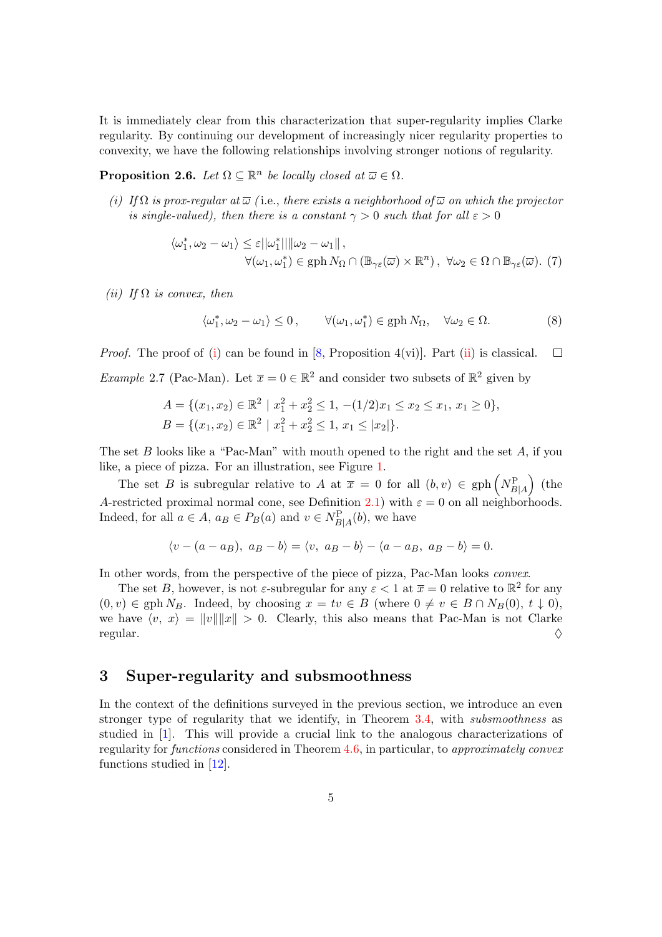It is immediately clear from this characterization that super-regularity implies Clarke regularity. By continuing our development of increasingly nicer regularity properties to convexity, we have the following relationships involving stronger notions of regularity.

**Proposition 2.6.** Let  $\Omega \subseteq \mathbb{R}^n$  be locally closed at  $\overline{\omega} \in \Omega$ .

<span id="page-4-3"></span>(i) If  $\Omega$  is prox-regular at  $\overline{\omega}$  (i.e., there exists a neighborhood of  $\overline{\omega}$  on which the projector is single-valued), then there is a constant  $\gamma > 0$  such that for all  $\varepsilon > 0$ 

$$
\langle \omega_1^*, \omega_2 - \omega_1 \rangle \le \varepsilon ||\omega_1^*|| ||\omega_2 - \omega_1||,
$$
  

$$
\forall (\omega_1, \omega_1^*) \in \text{gph } N_{\Omega} \cap (\mathbb{B}_{\gamma \varepsilon}(\overline{\omega}) \times \mathbb{R}^n), \ \forall \omega_2 \in \Omega \cap \mathbb{B}_{\gamma \varepsilon}(\overline{\omega}).
$$
 (7)

<span id="page-4-4"></span>(ii) If  $\Omega$  is convex, then

$$
\langle \omega_1^*, \omega_2 - \omega_1 \rangle \le 0, \qquad \forall (\omega_1, \omega_1^*) \in \text{gph } N_{\Omega}, \quad \forall \omega_2 \in \Omega.
$$
 (8)

<span id="page-4-2"></span>*Proof.* The proof of [\(i\)](#page-4-3) can be found in [\[8,](#page-13-8) Proposition 4(vi)]. Part [\(ii\)](#page-4-4) is classical.  $\Box$ *Example* 2.7 (Pac-Man). Let  $\bar{x} = 0 \in \mathbb{R}^2$  and consider two subsets of  $\mathbb{R}^2$  given by

$$
A = \{ (x_1, x_2) \in \mathbb{R}^2 \mid x_1^2 + x_2^2 \le 1, -(1/2)x_1 \le x_2 \le x_1, x_1 \ge 0 \},
$$
  

$$
B = \{ (x_1, x_2) \in \mathbb{R}^2 \mid x_1^2 + x_2^2 \le 1, x_1 \le |x_2| \}.
$$

The set B looks like a "Pac-Man" with mouth opened to the right and the set A, if you like, a piece of pizza. For an illustration, see Figure [1.](#page-5-1)

The set B is subregular relative to A at  $\bar{x} = 0$  for all  $(b, v) \in \text{gph}\left(N_{B|A}^{\text{P}}\right)$  (the A-restricted proximal normal cone, see Definition [2.1\)](#page-1-1) with  $\varepsilon = 0$  on all neighborhoods. Indeed, for all  $a \in A$ ,  $a_B \in P_B(a)$  and  $v \in N_{B|A}^{\mathcal{P}}(b)$ , we have

$$
\langle v - (a - a_B), a_B - b \rangle = \langle v, a_B - b \rangle - \langle a - a_B, a_B - b \rangle = 0.
$$

In other words, from the perspective of the piece of pizza, Pac-Man looks convex.

The set B, however, is not  $\varepsilon$ -subregular for any  $\varepsilon < 1$  at  $\overline{x} = 0$  relative to  $\mathbb{R}^2$  for any  $(0, v) \in \text{gph } N_B$ . Indeed, by choosing  $x = tv \in B$  (where  $0 \neq v \in B \cap N_B(0), t \downarrow 0$ ), we have  $\langle v, x \rangle = ||v|| ||x|| > 0$ . Clearly, this also means that Pac-Man is not Clarke  $r$ egular.  $\Diamond$ 

### <span id="page-4-0"></span>3 Super-regularity and subsmoothness

<span id="page-4-1"></span>In the context of the definitions surveyed in the previous section, we introduce an even stronger type of regularity that we identify, in Theorem [3.4,](#page-6-0) with *subsmoothness* as studied in [\[1\]](#page-13-1). This will provide a crucial link to the analogous characterizations of regularity for functions considered in Theorem [4.6,](#page-10-0) in particular, to approximately convex functions studied in [\[12\]](#page-13-2).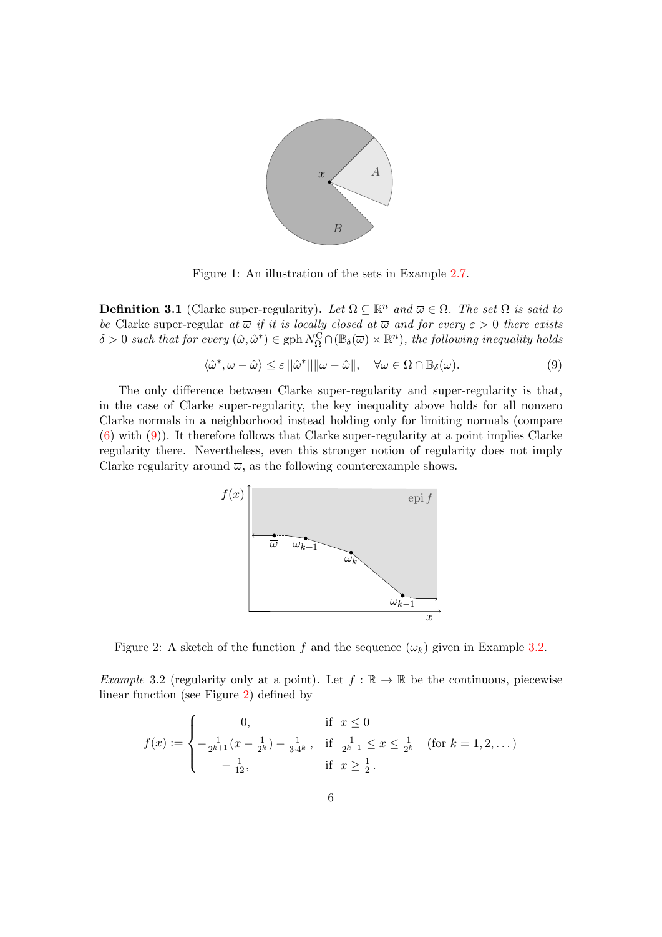<span id="page-5-1"></span>

Figure 1: An illustration of the sets in Example [2.7.](#page-4-2)

**Definition 3.1** (Clarke super-regularity). Let  $\Omega \subseteq \mathbb{R}^n$  and  $\overline{\omega} \in \Omega$ . The set  $\Omega$  is said to be Clarke super-regular at  $\overline{\omega}$  if it is locally closed at  $\overline{\omega}$  and for every  $\varepsilon > 0$  there exists  $\delta > 0$  such that for every  $(\hat{\omega}, \hat{\omega}^*) \in \text{gph } N_{\Omega}^{\text{C}} \cap (\mathbb{B}_{\delta}(\overline{\omega}) \times \mathbb{R}^n)$ , the following inequality holds

<span id="page-5-2"></span>
$$
\langle \hat{\omega}^*, \omega - \hat{\omega} \rangle \le \varepsilon ||\hat{\omega}^*|| ||\omega - \hat{\omega}||, \quad \forall \omega \in \Omega \cap \mathbb{B}_{\delta}(\overline{\omega}). \tag{9}
$$

The only difference between Clarke super-regularity and super-regularity is that, in the case of Clarke super-regularity, the key inequality above holds for all nonzero Clarke normals in a neighborhood instead holding only for limiting normals (compare [\(6\)](#page-3-5) with [\(9\)](#page-5-2)). It therefore follows that Clarke super-regularity at a point implies Clarke regularity there. Nevertheless, even this stronger notion of regularity does not imply Clarke regularity around  $\overline{\omega}$ , as the following counterexample shows.

<span id="page-5-3"></span>

Figure 2: A sketch of the function f and the sequence  $(\omega_k)$  given in Example [3.2.](#page-5-0)

<span id="page-5-0"></span>Example 3.2 (regularity only at a point). Let  $f : \mathbb{R} \to \mathbb{R}$  be the continuous, piecewise linear function (see Figure [2\)](#page-5-3) defined by

$$
f(x) := \begin{cases} 0, & \text{if } x \le 0\\ -\frac{1}{2^{k+1}}(x - \frac{1}{2^k}) - \frac{1}{3 \cdot 4^k}, & \text{if } \frac{1}{2^{k+1}} \le x \le \frac{1}{2^k} \quad (\text{for } k = 1, 2, \dots)\\ -\frac{1}{12}, & \text{if } x \ge \frac{1}{2} \end{cases}
$$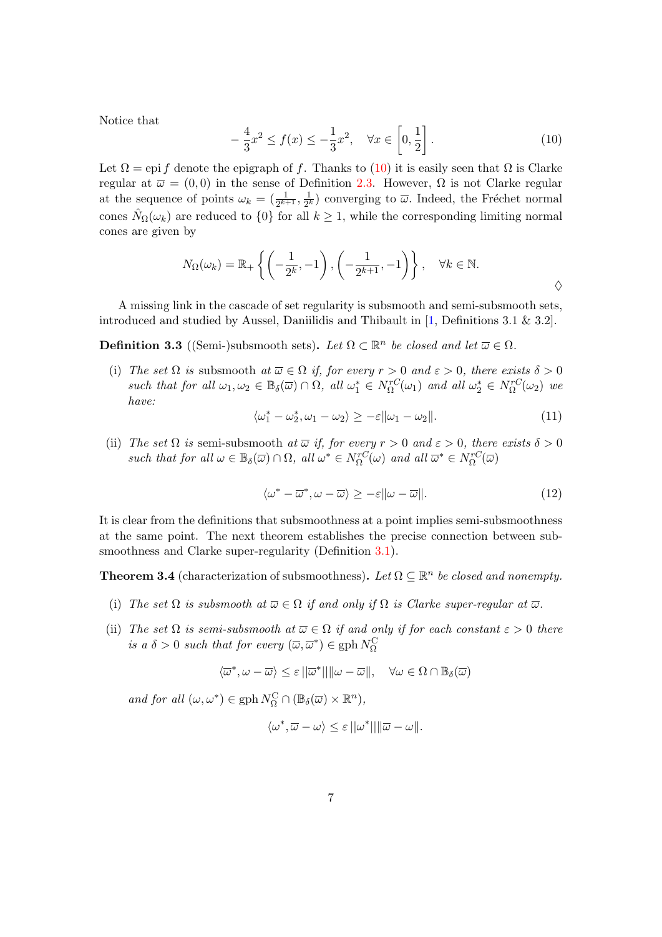Notice that

<span id="page-6-1"></span>
$$
-\frac{4}{3}x^2 \le f(x) \le -\frac{1}{3}x^2, \quad \forall x \in \left[0, \frac{1}{2}\right].
$$
 (10)

Let  $\Omega =$  epi f denote the epigraph of f. Thanks to [\(10\)](#page-6-1) it is easily seen that  $\Omega$  is Clarke regular at  $\overline{\omega} = (0,0)$  in the sense of Definition [2.3.](#page-3-0) However,  $\Omega$  is not Clarke regular at the sequence of points  $\omega_k = \left(\frac{1}{2^{k+1}}, \frac{1}{2^k}\right)$  $\frac{1}{2^k}$  converging to  $\overline{\omega}$ . Indeed, the Fréchet normal cones  $\hat{N}_{\Omega}(\omega_k)$  are reduced to  $\{0\}$  for all  $k \geq 1$ , while the corresponding limiting normal cones are given by

$$
N_{\Omega}(\omega_k) = \mathbb{R}_+ \left\{ \left( -\frac{1}{2^k}, -1 \right), \left( -\frac{1}{2^{k+1}}, -1 \right) \right\}, \quad \forall k \in \mathbb{N}.
$$

A missing link in the cascade of set regularity is subsmooth and semi-subsmooth sets, introduced and studied by Aussel, Daniilidis and Thibault in [\[1,](#page-13-1) Definitions 3.1  $\&$  3.2].

**Definition 3.3** ((Semi-)subsmooth sets). Let  $\Omega \subset \mathbb{R}^n$  be closed and let  $\overline{\omega} \in \Omega$ .

(i) The set  $\Omega$  is subsmooth at  $\overline{\omega} \in \Omega$  if, for every  $r > 0$  and  $\varepsilon > 0$ , there exists  $\delta > 0$ such that for all  $\omega_1, \omega_2 \in \mathbb{B}_{\delta}(\overline{\omega}) \cap \Omega$ , all  $\omega_1^* \in N_{\Omega}^{rC}(\omega_1)$  and all  $\omega_2^* \in N_{\Omega}^{rC}(\omega_2)$  we have:

<span id="page-6-2"></span>
$$
\langle \omega_1^* - \omega_2^*, \omega_1 - \omega_2 \rangle \ge -\varepsilon ||\omega_1 - \omega_2||. \tag{11}
$$

(ii) The set  $\Omega$  is semi-subsmooth at  $\overline{\omega}$  if, for every  $r > 0$  and  $\varepsilon > 0$ , there exists  $\delta > 0$ such that for all  $\omega \in \mathbb{B}_{\delta}(\overline{\omega}) \cap \Omega$ , all  $\omega^* \in N_{\Omega}^{rC}(\omega)$  and all  $\overline{\omega}^* \in N_{\Omega}^{rC}(\overline{\omega})$ 

$$
\langle \omega^* - \overline{\omega}^*, \omega - \overline{\omega} \rangle \ge -\varepsilon \| \omega - \overline{\omega} \|.
$$
 (12)

It is clear from the definitions that subsmoothness at a point implies semi-subsmoothness at the same point. The next theorem establishes the precise connection between sub-smoothness and Clarke super-regularity (Definition [3.1\)](#page-4-1).

<span id="page-6-0"></span>**Theorem 3.4** (characterization of subsmoothness). Let  $\Omega \subseteq \mathbb{R}^n$  be closed and nonempty.

- <span id="page-6-3"></span>(i) The set  $\Omega$  is subsmooth at  $\overline{\omega} \in \Omega$  if and only if  $\Omega$  is Clarke super-regular at  $\overline{\omega}$ .
- (ii) The set  $\Omega$  is semi-subsmooth at  $\overline{\omega} \in \Omega$  if and only if for each constant  $\varepsilon > 0$  there is a  $\delta > 0$  such that for every  $(\overline{\omega}, \overline{\omega}^*) \in \text{gph } N_{\Omega}^{\text{C}}$

$$
\langle \overline{\omega}^*, \omega - \overline{\omega} \rangle \le \varepsilon ||\overline{\omega}^*|| ||\omega - \overline{\omega}||, \quad \forall \omega \in \Omega \cap \mathbb{B}_{\delta}(\overline{\omega})
$$

and for all  $(\omega, \omega^*) \in \text{gph } N_{\Omega}^{\mathcal{C}} \cap (\mathbb{B}_{\delta}(\overline{\omega}) \times \mathbb{R}^n)$ ,

$$
\langle \omega^*, \overline{\omega} - \omega \rangle \leq \varepsilon ||\omega^*|| ||\overline{\omega} - \omega||.
$$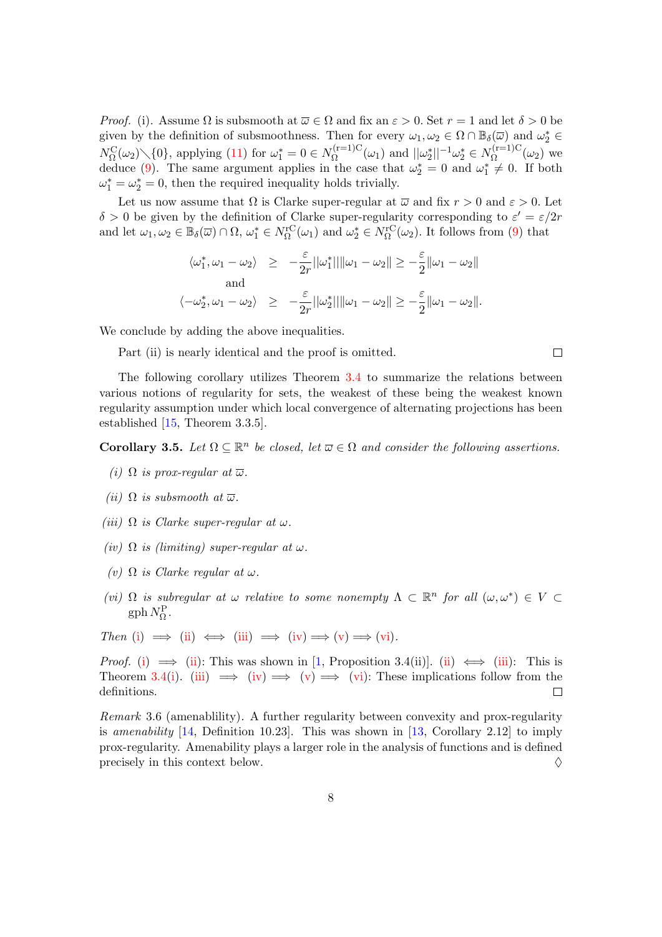*Proof.* (i). Assume  $\Omega$  is subsmooth at  $\overline{\omega} \in \Omega$  and fix an  $\varepsilon > 0$ . Set  $r = 1$  and let  $\delta > 0$  be given by the definition of subsmoothness. Then for every  $\omega_1, \omega_2 \in \Omega \cap \mathbb{B}_{\delta}(\overline{\omega})$  and  $\omega_2^* \in$  $N_{\Omega}^{\text{C}}(\omega_2) \setminus \{0\}$ , applying [\(11\)](#page-6-2) for  $\omega_1^* = 0 \in N_{\Omega}^{(r=1)C}$  $\Omega_{\Omega}^{(r=1)C}(\omega_1)$  and  $||\omega_2^*||^{-1}\omega_2^* \in N_{\Omega}^{(r=1)C}$  $\Omega^{(1-1)\circ}(\omega_2)$  we deduce [\(9\)](#page-5-2). The same argument applies in the case that  $\omega_2^* = 0$  and  $\omega_1^* \neq 0$ . If both  $\omega_1^* = \omega_2^* = 0$ , then the required inequality holds trivially.

Let us now assume that  $\Omega$  is Clarke super-regular at  $\overline{\omega}$  and fix  $r > 0$  and  $\varepsilon > 0$ . Let  $\delta > 0$  be given by the definition of Clarke super-regularity corresponding to  $\varepsilon' = \varepsilon/2r$ and let  $\omega_1, \omega_2 \in \mathbb{B}_{\delta}(\overline{\omega}) \cap \Omega$ ,  $\omega_1^* \in N_{\Omega}^{\text{rC}}(\omega_1)$  and  $\omega_2^* \in N_{\Omega}^{\text{rC}}(\omega_2)$ . It follows from [\(9\)](#page-5-2) that

$$
\langle \omega_1^*, \omega_1 - \omega_2 \rangle \ge -\frac{\varepsilon}{2r} ||\omega_1^*|| ||\omega_1 - \omega_2|| \ge -\frac{\varepsilon}{2} ||\omega_1 - \omega_2||
$$
  
and  

$$
\langle -\omega_2^*, \omega_1 - \omega_2 \rangle \ge -\frac{\varepsilon}{2r} ||\omega_2^*|| ||\omega_1 - \omega_2|| \ge -\frac{\varepsilon}{2} ||\omega_1 - \omega_2||.
$$

We conclude by adding the above inequalities.

Part (ii) is nearly identical and the proof is omitted.

The following corollary utilizes Theorem [3.4](#page-6-0) to summarize the relations between various notions of regularity for sets, the weakest of these being the weakest known regularity assumption under which local convergence of alternating projections has been established [\[15,](#page-14-0) Theorem 3.3.5].

**Corollary 3.5.** Let  $\Omega \subseteq \mathbb{R}^n$  be closed, let  $\overline{\omega} \in \Omega$  and consider the following assertions.

- <span id="page-7-0"></span>(i)  $\Omega$  is prox-regular at  $\overline{\omega}$ .
- <span id="page-7-1"></span>(ii)  $\Omega$  is subsmooth at  $\overline{\omega}$ .
- <span id="page-7-2"></span>(iii)  $\Omega$  is Clarke super-regular at  $\omega$ .
- <span id="page-7-3"></span>(iv)  $\Omega$  is (limiting) super-regular at  $\omega$ .
- <span id="page-7-4"></span>(v)  $\Omega$  is Clarke regular at  $\omega$ .
- <span id="page-7-5"></span>(vi)  $\Omega$  is subregular at  $\omega$  relative to some nonempty  $\Lambda \subset \mathbb{R}^n$  for all  $(\omega, \omega^*) \in V$  $\text{gph}\,N_{\Omega}^{\text{P}}$ .
- Then [\(i\)](#page-7-0)  $\implies$  [\(ii\)](#page-7-1)  $\iff$  [\(iii\)](#page-7-2)  $\implies$  [\(iv\)](#page-7-3)  $\implies$  [\(v\)](#page-7-4)  $\implies$  [\(vi\)](#page-7-5).

*Proof.* [\(i\)](#page-7-0)  $\implies$  [\(ii\)](#page-7-1): This was shown in [\[1,](#page-13-1) Proposition 3.4(ii)]. (ii)  $\iff$  [\(iii\)](#page-7-2): This is Theorem [3.4\(](#page-6-0)[i\)](#page-6-3). [\(iii\)](#page-7-2)  $\implies$  [\(iv\)](#page-7-3)  $\implies$  [\(v\)](#page-7-4)  $\implies$  [\(vi\)](#page-7-5): These implications follow from the definitions.  $\Box$ 

Remark 3.6 (amenablility). A further regularity between convexity and prox-regularity is amenability  $[14,$  Definition 10.23. This was shown in  $[13,$  Corollary 2.12 to imply prox-regularity. Amenability plays a larger role in the analysis of functions and is defined precisely in this context below.  $\Diamond$ 

 $\Box$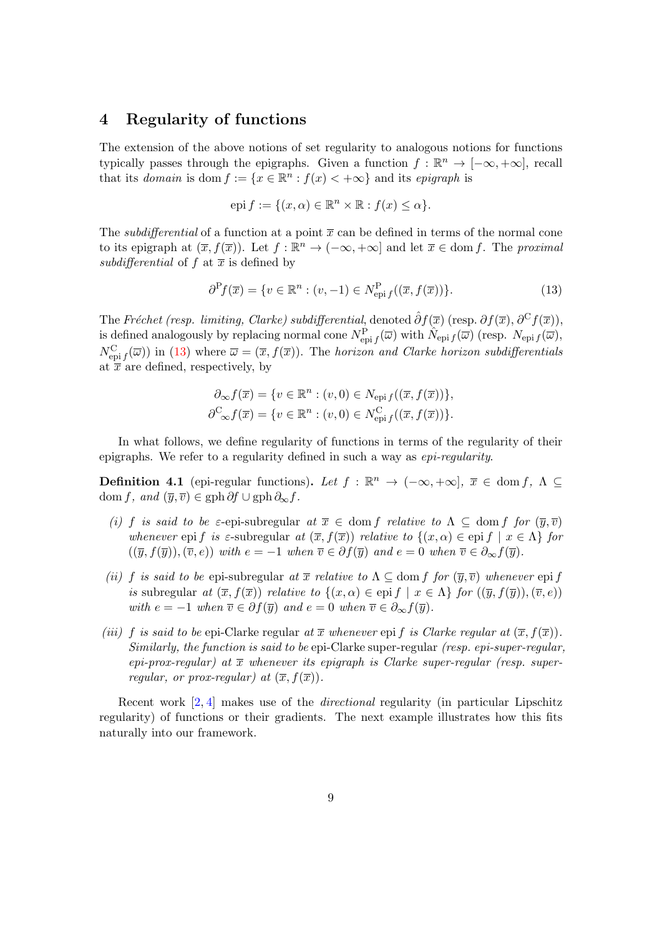### <span id="page-8-0"></span>4 Regularity of functions

The extension of the above notions of set regularity to analogous notions for functions typically passes through the epigraphs. Given a function  $f : \mathbb{R}^n \to [-\infty, +\infty]$ , recall that its *domain* is dom  $f := \{x \in \mathbb{R}^n : f(x) < +\infty\}$  and its *epigraph* is

$$
epi f := \{ (x, \alpha) \in \mathbb{R}^n \times \mathbb{R} : f(x) \le \alpha \}.
$$

The *subdifferential* of a function at a point  $\bar{x}$  can be defined in terms of the normal cone to its epigraph at  $(\overline{x}, f(\overline{x}))$ . Let  $f : \mathbb{R}^n \to (-\infty, +\infty]$  and let  $\overline{x} \in \text{dom } f$ . The proximal subdifferential of f at  $\bar{x}$  is defined by

<span id="page-8-1"></span>
$$
\partial^{\mathcal{P}} f(\overline{x}) = \{ v \in \mathbb{R}^n : (v, -1) \in N^{\mathcal{P}}_{\text{epi } f}((\overline{x}, f(\overline{x}))) \}. \tag{13}
$$

The Fréchet (resp. limiting, Clarke) subdifferential, denoted  $\hat{\partial} f(\overline{x})$  (resp.  $\partial f(\overline{x}), \partial^C f(\overline{x})$ ), is defined analogously by replacing normal cone  $N_{\text{epi }f}^{\text{P}}(\overline{\omega})$  with  $\hat{N}_{\text{epi }f}(\overline{\omega})$  (resp.  $N_{\text{epi }f}(\overline{\omega})$ ),  $N_{\text{epi }f}^{\text{C}}(\overline{\omega})$  in [\(13\)](#page-8-1) where  $\overline{\omega} = (\overline{x}, f(\overline{x}))$ . The horizon and Clarke horizon subdifferentials at  $\bar{x}$  are defined, respectively, by

$$
\partial_{\infty} f(\overline{x}) = \{ v \in \mathbb{R}^n : (v, 0) \in N_{\text{epi} f}((\overline{x}, f(\overline{x}))) \},
$$
  

$$
\partial^{\mathcal{C}}_{\infty} f(\overline{x}) = \{ v \in \mathbb{R}^n : (v, 0) \in N_{\text{epi} f}^{\mathcal{C}}((\overline{x}, f(\overline{x}))) \}.
$$

In what follows, we define regularity of functions in terms of the regularity of their epigraphs. We refer to a regularity defined in such a way as epi-regularity.

<span id="page-8-2"></span>**Definition 4.1** (epi-regular functions). Let  $f : \mathbb{R}^n \to (-\infty, +\infty], \overline{x} \in \text{dom } f, \Lambda \subseteq$ dom f, and  $(\overline{y}, \overline{v}) \in \text{gph }\partial f \cup \text{gph }\partial_{\infty} f$ .

- (i) f is said to be  $\varepsilon$ -epi-subregular at  $\overline{x} \in$  dom f relative to  $\Lambda \subseteq$  dom f for  $(\overline{y}, \overline{v})$ whenever epi f is  $\varepsilon$ -subregular at  $(\overline{x}, f(\overline{x}))$  relative to  $\{(x, \alpha) \in \text{epi } f \mid x \in \Lambda\}$  for  $((\overline{y}, f(\overline{y})),(\overline{v}, e))$  with  $e = -1$  when  $\overline{v} \in \partial f(\overline{y})$  and  $e = 0$  when  $\overline{v} \in \partial_{\infty} f(\overline{y})$ .
- (ii) f is said to be epi-subregular at  $\bar{x}$  relative to  $\Lambda \subseteq$  dom f for  $(\bar{y}, \bar{v})$  whenever epi f is subregular at  $(\overline{x}, f(\overline{x}))$  relative to  $\{(x, \alpha) \in$  epi  $f \mid x \in \Lambda\}$  for  $((\overline{y}, f(\overline{y})),(\overline{v}, e))$ with  $e = -1$  when  $\overline{v} \in \partial f(\overline{y})$  and  $e = 0$  when  $\overline{v} \in \partial_{\infty} f(\overline{y})$ .
- (iii) f is said to be epi-Clarke regular at  $\bar{x}$  whenever epi f is Clarke regular at  $(\bar{x}, f(\bar{x}))$ . Similarly, the function is said to be epi-Clarke super-regular (resp. epi-super-regular, epi-prox-regular) at  $\bar{x}$  whenever its epigraph is Clarke super-regular (resp. superregular, or prox-regular) at  $(\overline{x}, f(\overline{x}))$ .

Recent work [\[2,](#page-13-10) [4\]](#page-13-11) makes use of the directional regularity (in particular Lipschitz regularity) of functions or their gradients. The next example illustrates how this fits naturally into our framework.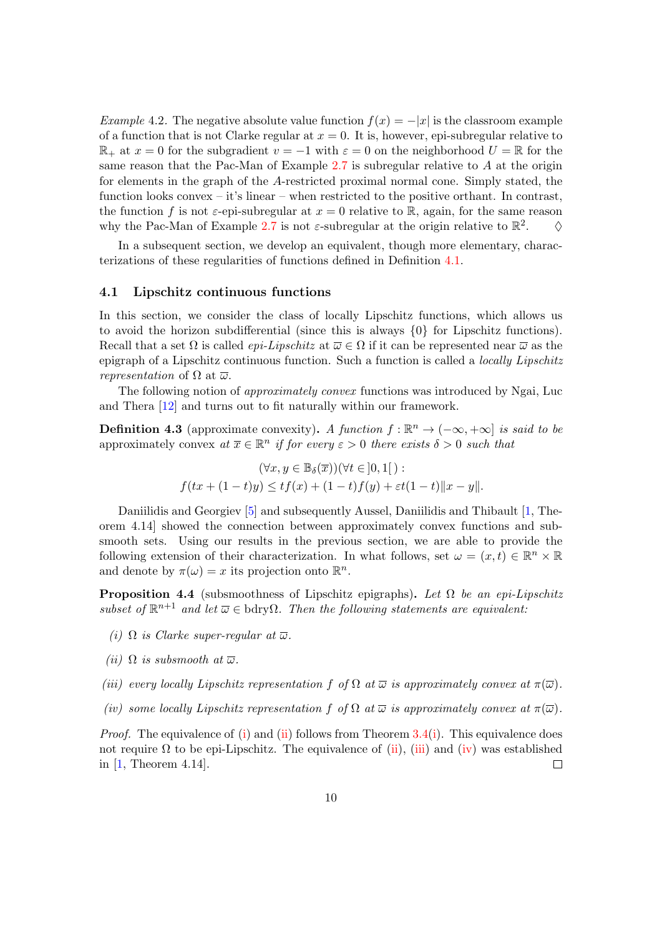Example 4.2. The negative absolute value function  $f(x) = -|x|$  is the classroom example of a function that is not Clarke regular at  $x = 0$ . It is, however, epi-subregular relative to  $\mathbb{R}_+$  at  $x = 0$  for the subgradient  $v = -1$  with  $\varepsilon = 0$  on the neighborhood  $U = \mathbb{R}$  for the same reason that the Pac-Man of Example  $2.7$  is subregular relative to A at the origin for elements in the graph of the A-restricted proximal normal cone. Simply stated, the function looks convex – it's linear – when restricted to the positive orthant. In contrast, the function f is not  $\varepsilon$ -epi-subregular at  $x = 0$  relative to R, again, for the same reason why the Pac-Man of Example [2.7](#page-4-2) is not  $\varepsilon$ -subregular at the origin relative to  $\mathbb{R}^2$  $\Diamond$ 

In a subsequent section, we develop an equivalent, though more elementary, characterizations of these regularities of functions defined in Definition [4.1.](#page-8-2)

#### <span id="page-9-5"></span>4.1 Lipschitz continuous functions

In this section, we consider the class of locally Lipschitz functions, which allows us to avoid the horizon subdifferential (since this is always  $\{0\}$  for Lipschitz functions). Recall that a set  $\Omega$  is called *epi-Lipschitz* at  $\overline{\omega} \in \Omega$  if it can be represented near  $\overline{\omega}$  as the epigraph of a Lipschitz continuous function. Such a function is called a locally Lipschitz *representation* of  $\Omega$  at  $\overline{\omega}$ .

The following notion of approximately convex functions was introduced by Ngai, Luc and Thera [\[12\]](#page-13-2) and turns out to fit naturally within our framework.

**Definition 4.3** (approximate convexity). A function  $f : \mathbb{R}^n \to (-\infty, +\infty]$  is said to be approximately convex at  $\overline{x} \in \mathbb{R}^n$  if for every  $\varepsilon > 0$  there exists  $\delta > 0$  such that

$$
(\forall x, y \in \mathbb{B}_{\delta}(\overline{x}))(\forall t \in ]0,1[):
$$
  

$$
f(tx+(1-t)y) \le tf(x)+(1-t)f(y)+\varepsilon t(1-t)||x-y||.
$$

Daniilidis and Georgiev [\[5\]](#page-13-12) and subsequently Aussel, Daniilidis and Thibault [\[1,](#page-13-1) Theorem 4.14] showed the connection between approximately convex functions and subsmooth sets. Using our results in the previous section, we are able to provide the following extension of their characterization. In what follows, set  $\omega = (x, t) \in \mathbb{R}^n \times \mathbb{R}$ and denote by  $\pi(\omega) = x$  its projection onto  $\mathbb{R}^n$ .

<span id="page-9-4"></span>**Proposition 4.4** (subsmoothness of Lipschitz epigraphs). Let  $\Omega$  be an epi-Lipschitz subset of  $\mathbb{R}^{n+1}$  and let  $\overline{\omega} \in \text{bdry}\Omega$ . Then the following statements are equivalent:

- <span id="page-9-0"></span>(i)  $\Omega$  is Clarke super-regular at  $\overline{\omega}$ .
- <span id="page-9-1"></span>(ii)  $\Omega$  is subsmooth at  $\overline{\omega}$ .
- <span id="page-9-2"></span>(iii) every locally Lipschitz representation f of  $\Omega$  at  $\overline{\omega}$  is approximately convex at  $\pi(\overline{\omega})$ .
- <span id="page-9-3"></span>(iv) some locally Lipschitz representation f of  $\Omega$  at  $\overline{\omega}$  is approximately convex at  $\pi(\overline{\omega})$ .

*Proof.* The equivalence of [\(i\)](#page-6-3) and [\(ii\)](#page-9-1) follows from Theorem  $3.4(i)$  $3.4(i)$ . This equivalence does not require  $\Omega$  to be epi-Lipschitz. The equivalence of [\(ii\)](#page-9-1), [\(iii\)](#page-9-2) and [\(iv\)](#page-9-3) was established in [\[1,](#page-13-1) Theorem 4.14].  $\Box$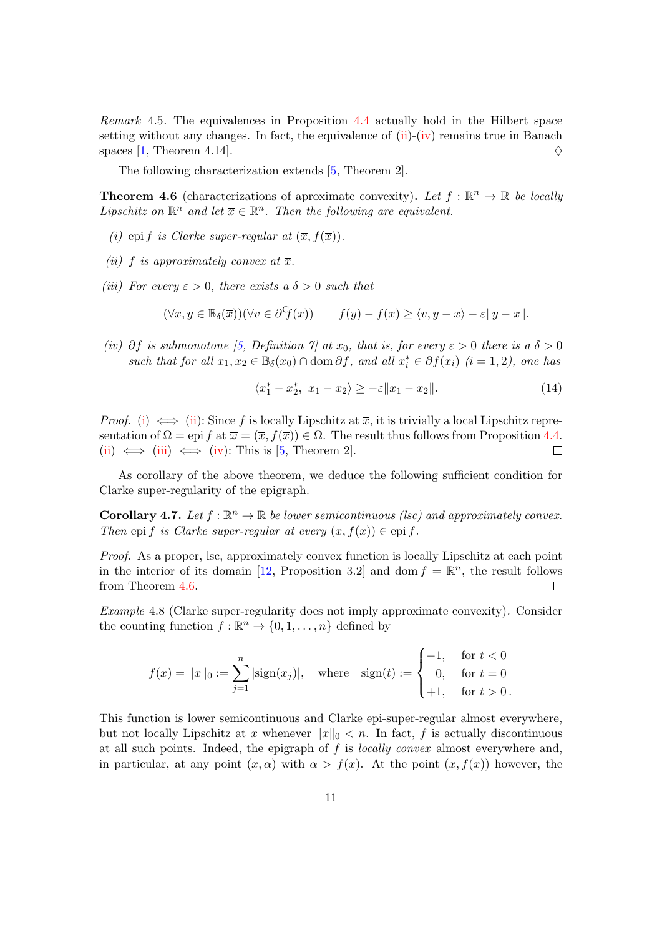Remark 4.5. The equivalences in Proposition [4.4](#page-9-4) actually hold in the Hilbert space setting without any changes. In fact, the equivalence of  $(ii)-(iv)$  $(ii)-(iv)$  $(ii)-(iv)$  remains true in Banach spaces [\[1,](#page-13-1) Theorem 4.14].  $\diamond$ 

The following characterization extends [\[5,](#page-13-12) Theorem 2].

<span id="page-10-0"></span>**Theorem 4.6** (characterizations of aproximate convexity). Let  $f : \mathbb{R}^n \to \mathbb{R}$  be locally Lipschitz on  $\mathbb{R}^n$  and let  $\overline{x} \in \mathbb{R}^n$ . Then the following are equivalent.

- <span id="page-10-1"></span>(i) epi f is Clarke super-regular at  $(\overline{x}, f(\overline{x}))$ .
- <span id="page-10-2"></span>(ii) f is approximately convex at  $\overline{x}$ .
- <span id="page-10-3"></span>(iii) For every  $\varepsilon > 0$ , there exists a  $\delta > 0$  such that

$$
(\forall x, y \in \mathbb{B}_{\delta}(\overline{x}))(\forall v \in \partial^{\mathcal{C}} f(x)) \qquad f(y) - f(x) \ge \langle v, y - x \rangle - \varepsilon \|y - x\|.
$$

<span id="page-10-4"></span>(iv)  $\partial f$  is submonotone [\[5,](#page-13-12) Definition  $\gamma$ ] at  $x_0$ , that is, for every  $\varepsilon > 0$  there is a  $\delta > 0$ such that for all  $x_1, x_2 \in \mathbb{B}_{\delta}(x_0) \cap \text{dom }\partial f$ , and all  $x_i^* \in \partial f(x_i)$   $(i = 1, 2)$ , one has

$$
\langle x_1^* - x_2^*, \ x_1 - x_2 \rangle \ge -\varepsilon \|x_1 - x_2\|.
$$
 (14)

*Proof.* [\(i\)](#page-10-1)  $\iff$  [\(ii\)](#page-10-2): Since f is locally Lipschitz at  $\overline{x}$ , it is trivially a local Lipschitz representation of  $\Omega =$  epi f at  $\overline{\omega} = (\overline{x}, f(\overline{x})) \in \Omega$ . The result thus follows from Proposition [4.4.](#page-9-4) [\(ii\)](#page-10-2)  $\iff$  [\(iii\)](#page-10-3)  $\iff$  [\(iv\)](#page-10-4): This is [\[5,](#page-13-12) Theorem 2].  $\Box$ 

As corollary of the above theorem, we deduce the following sufficient condition for Clarke super-regularity of the epigraph.

**Corollary 4.7.** Let  $f : \mathbb{R}^n \to \mathbb{R}$  be lower semicontinuous (lsc) and approximately convex. Then epi f is Clarke super-regular at every  $(\overline{x}, f(\overline{x})) \in$ epi f.

Proof. As a proper, lsc, approximately convex function is locally Lipschitz at each point in the interior of its domain [\[12,](#page-13-2) Proposition 3.2] and dom  $f = \mathbb{R}^n$ , the result follows from Theorem [4.6.](#page-10-0)  $\Box$ 

Example 4.8 (Clarke super-regularity does not imply approximate convexity). Consider the counting function  $f : \mathbb{R}^n \to \{0, 1, \ldots, n\}$  defined by

$$
f(x) = ||x||_0 := \sum_{j=1}^n |\text{sign}(x_j)|, \quad \text{where} \quad \text{sign}(t) := \begin{cases} -1, & \text{for } t < 0 \\ 0, & \text{for } t = 0 \\ +1, & \text{for } t > 0 \end{cases}
$$

This function is lower semicontinuous and Clarke epi-super-regular almost everywhere, but not locally Lipschitz at x whenever  $||x||_0 < n$ . In fact, f is actually discontinuous at all such points. Indeed, the epigraph of  $f$  is *locally convex* almost everywhere and, in particular, at any point  $(x, \alpha)$  with  $\alpha > f(x)$ . At the point  $(x, f(x))$  however, the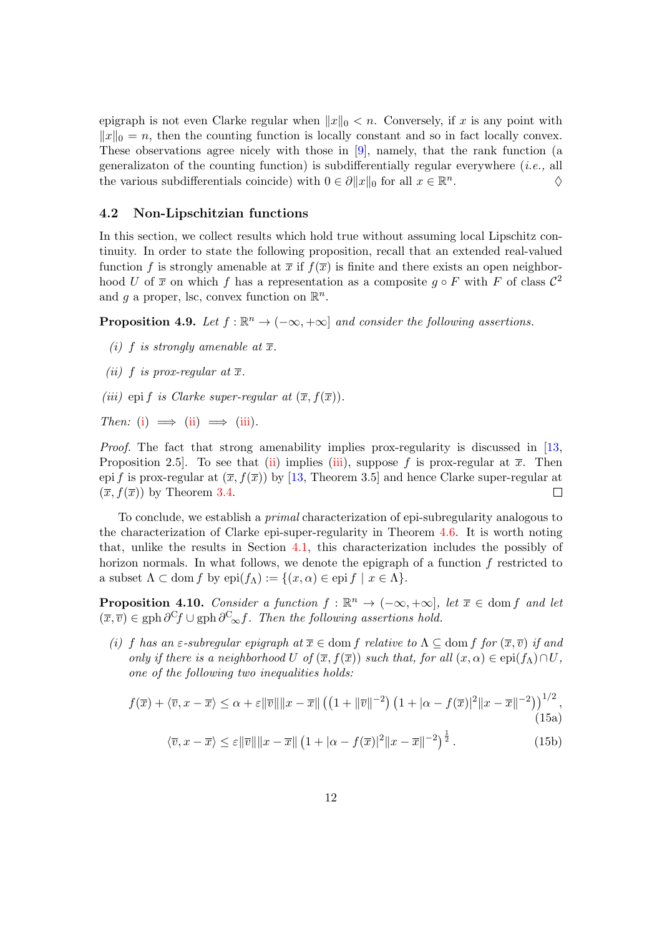epigraph is not even Clarke regular when  $||x||_0 < n$ . Conversely, if x is any point with  $||x||_0 = n$ , then the counting function is locally constant and so in fact locally convex. These observations agree nicely with those in [\[9\]](#page-13-13), namely, that the rank function (a generalizaton of the counting function) is subdifferentially regular everywhere  $(i.e.,$  all the various subdifferentials coincide) with  $0 \in \partial ||x||_0$  for all  $x \in \mathbb{R}^n$ .  $\Diamond$ 

#### 4.2 Non-Lipschitzian functions

In this section, we collect results which hold true without assuming local Lipschitz continuity. In order to state the following proposition, recall that an extended real-valued function f is strongly amenable at  $\bar{x}$  if  $f(\bar{x})$  is finite and there exists an open neighborhood U of  $\bar{x}$  on which f has a representation as a composite  $g \circ F$  with F of class  $\mathcal{C}^2$ and g a proper, lsc, convex function on  $\mathbb{R}^n$ .

**Proposition 4.9.** Let  $f : \mathbb{R}^n \to (-\infty, +\infty]$  and consider the following assertions.

- <span id="page-11-0"></span>(i) f is strongly amenable at  $\overline{x}$ .
- <span id="page-11-1"></span>(ii) f is prox-regular at  $\overline{x}$ .
- <span id="page-11-2"></span>(iii) epi f is Clarke super-regular at  $(\overline{x}, f(\overline{x}))$ .

Then: [\(i\)](#page-11-0)  $\implies$  [\(ii\)](#page-11-1)  $\implies$  [\(iii\)](#page-11-2).

Proof. The fact that strong amenability implies prox-regularity is discussed in [\[13,](#page-13-9) Proposition 2.5. To see that [\(ii\)](#page-11-1) implies [\(iii\)](#page-11-2), suppose f is prox-regular at  $\bar{x}$ . Then epi f is prox-regular at  $(\bar{x}, f(\bar{x}))$  by [\[13,](#page-13-9) Theorem 3.5] and hence Clarke super-regular at  $(\overline{x}, f(\overline{x}))$  by Theorem [3.4.](#page-6-0)  $\Box$ 

To conclude, we establish a primal characterization of epi-subregularity analogous to the characterization of Clarke epi-super-regularity in Theorem [4.6.](#page-10-0) It is worth noting that, unlike the results in Section [4.1,](#page-9-5) this characterization includes the possibly of horizon normals. In what follows, we denote the epigraph of a function f restricted to a subset  $\Lambda \subset \text{dom } f$  by  $epi(f_\Lambda) := \{ (x, \alpha) \in epif \mid x \in \Lambda \}.$ 

**Proposition 4.10.** Consider a function  $f : \mathbb{R}^n \to (-\infty, +\infty]$ , let  $\overline{x} \in \text{dom } f$  and let  $(\overline{x}, \overline{v}) \in \text{gph } \partial^C f \cup \text{gph } \partial^C_{\infty} f$ . Then the following assertions hold.

<span id="page-11-5"></span>(i) f has an  $\varepsilon$ -subregular epigraph at  $\overline{x} \in$  dom f relative to  $\Lambda \subseteq$  dom f for  $(\overline{x}, \overline{v})$  if and only if there is a neighborhood U of  $(\overline{x}, f(\overline{x}))$  such that, for all  $(x, \alpha) \in$ epi $(f_{\Lambda}) \cap U$ , one of the following two inequalities holds:

$$
f(\overline{x}) + \langle \overline{v}, x - \overline{x} \rangle \le \alpha + \varepsilon ||\overline{v}|| ||x - \overline{x}|| \left( \left( 1 + ||\overline{v}||^{-2} \right) \left( 1 + |\alpha - f(\overline{x})|^2 ||x - \overline{x}||^{-2} \right) \right)^{1/2},\tag{15a}
$$

<span id="page-11-4"></span><span id="page-11-3"></span>
$$
\langle \overline{v}, x - \overline{x} \rangle \le \varepsilon ||\overline{v}|| ||x - \overline{x}|| \left( 1 + |\alpha - f(\overline{x})|^2 ||x - \overline{x}||^{-2} \right)^{\frac{1}{2}}.
$$
 (15b)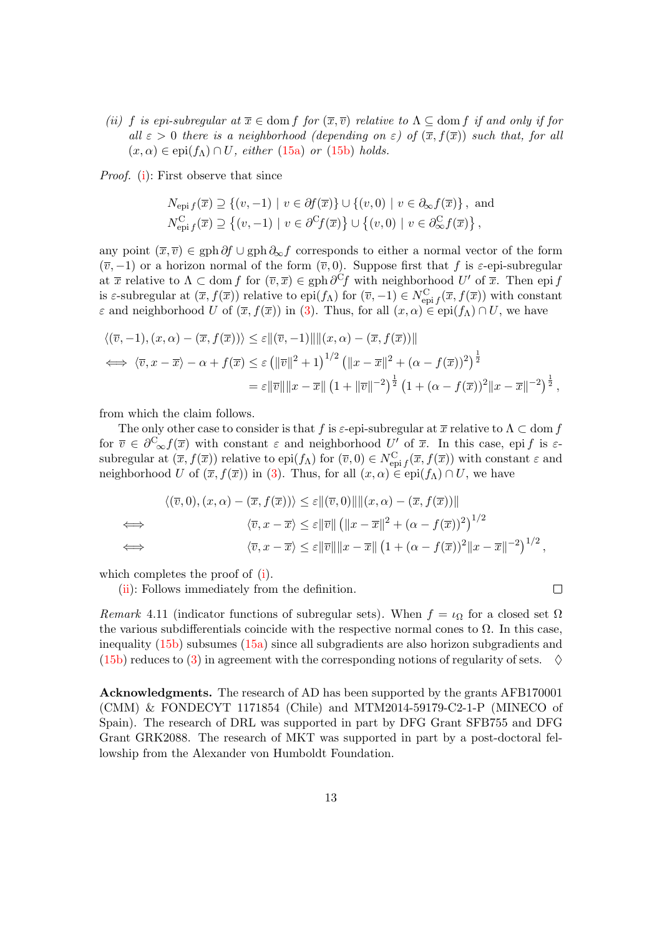<span id="page-12-0"></span>(ii) f is epi-subregular at  $\overline{x} \in$  dom f for  $(\overline{x}, \overline{v})$  relative to  $\Lambda \subseteq$  dom f if and only if for all  $\varepsilon > 0$  there is a neighborhood (depending on  $\varepsilon$ ) of  $(\overline{x}, f(\overline{x}))$  such that, for all  $(x, \alpha) \in \text{epi}(f_{\Lambda}) \cap U$ , either [\(15a\)](#page-11-3) or [\(15b\)](#page-11-4) holds.

Proof. [\(i\)](#page-11-5): First observe that since

$$
N_{\text{epi }f}(\overline{x}) \supseteq \{ (v, -1) \mid v \in \partial f(\overline{x}) \} \cup \{ (v, 0) \mid v \in \partial_{\infty} f(\overline{x}) \}, \text{ and}
$$
  

$$
N_{\text{epi }f}^{\text{C}}(\overline{x}) \supseteq \{ (v, -1) \mid v \in \partial^{\text{C}} f(\overline{x}) \} \cup \{ (v, 0) \mid v \in \partial_{\infty}^{\text{C}} f(\overline{x}) \},
$$

any point  $(\overline{x}, \overline{v}) \in \text{gph }\partial f \cup \text{gph }\partial_{\infty} f$  corresponds to either a normal vector of the form  $(\overline{v}, -1)$  or a horizon normal of the form  $(\overline{v}, 0)$ . Suppose first that f is  $\varepsilon$ -epi-subregular at  $\bar{x}$  relative to  $\Lambda \subset \text{dom } f$  for  $(\bar{v}, \bar{x}) \in \text{gph }\partial^C f$  with neighborhood  $U'$  of  $\bar{x}$ . Then epi f is  $\varepsilon$ -subregular at  $(\overline{x}, f(\overline{x}))$  relative to epi $(f_{\Lambda})$  for  $(\overline{v}, -1) \in N_{\text{epi} f}^{\text{C}}(\overline{x}, f(\overline{x}))$  with constant  $\varepsilon$  and neighborhood U of  $(\overline{x}, f(\overline{x}))$  in [\(3\)](#page-3-2). Thus, for all  $(x, \alpha) \in epi(f_{\Lambda}) \cap U$ , we have

$$
\langle (\overline{v}, -1), (x, \alpha) - (\overline{x}, f(\overline{x})) \rangle \le \varepsilon ||(\overline{v}, -1)|| ||(x, \alpha) - (\overline{x}, f(\overline{x}))||
$$
  
\n
$$
\iff \langle \overline{v}, x - \overline{x} \rangle - \alpha + f(\overline{x}) \le \varepsilon (||\overline{v}||^2 + 1)^{1/2} (||x - \overline{x}||^2 + (\alpha - f(\overline{x}))^2)^{\frac{1}{2}}
$$
  
\n
$$
= \varepsilon ||\overline{v}|| ||x - \overline{x}|| (1 + ||\overline{v}||^{-2})^{\frac{1}{2}} (1 + (\alpha - f(\overline{x}))^2 ||x - \overline{x}||^{-2})^{\frac{1}{2}},
$$

from which the claim follows.

The only other case to consider is that f is  $\varepsilon$ -epi-subregular at  $\overline{x}$  relative to  $\Lambda \subset \text{dom } f$ for  $\overline{v} \in \partial^{\mathcal{C}}_{\infty}f(\overline{x})$  with constant  $\varepsilon$  and neighborhood U' of  $\overline{x}$ . In this case, epi f is  $\varepsilon$ subregular at  $(\overline{x}, f(\overline{x}))$  relative to epi $(f_A)$  for  $(\overline{v}, 0) \in N_{epi}^C$ ,  $(\overline{x}, f(\overline{x}))$  with constant  $\varepsilon$  and neighborhood U of  $(\overline{x}, f(\overline{x}))$  in [\(3\)](#page-3-2). Thus, for all  $(x, \alpha) \in$ epi $(f_{\Lambda}) \cap U$ , we have

$$
\langle (\overline{v}, 0), (x, \alpha) - (\overline{x}, f(\overline{x})) \rangle \le \varepsilon ||(\overline{v}, 0)|| ||(x, \alpha) - (\overline{x}, f(\overline{x}))||
$$
  
\n
$$
\Leftrightarrow \qquad \langle \overline{v}, x - \overline{x} \rangle \le \varepsilon ||\overline{v}|| (||x - \overline{x}||^2 + (\alpha - f(\overline{x}))^2)^{1/2}
$$
  
\n
$$
\Leftrightarrow \qquad \langle \overline{v}, x - \overline{x} \rangle \le \varepsilon ||\overline{v}|| ||x - \overline{x}|| (1 + (\alpha - f(\overline{x}))^2 ||x - \overline{x}||^{-2})^{1/2},
$$

which completes the proof of  $(i)$ .

[\(ii\)](#page-12-0): Follows immediately from the definition.

 $\Box$ 

Remark 4.11 (indicator functions of subregular sets). When  $f = \iota_{\Omega}$  for a closed set  $\Omega$ the various subdifferentials coincide with the respective normal cones to  $\Omega$ . In this case, inequality [\(15b\)](#page-11-4) subsumes [\(15a\)](#page-11-3) since all subgradients are also horizon subgradients and  $(15b)$  reduces to  $(3)$  in agreement with the corresponding notions of regularity of sets.

Acknowledgments. The research of AD has been supported by the grants AFB170001 (CMM) & FONDECYT 1171854 (Chile) and MTM2014-59179-C2-1-P (MINECO of Spain). The research of DRL was supported in part by DFG Grant SFB755 and DFG Grant GRK2088. The research of MKT was supported in part by a post-doctoral fellowship from the Alexander von Humboldt Foundation.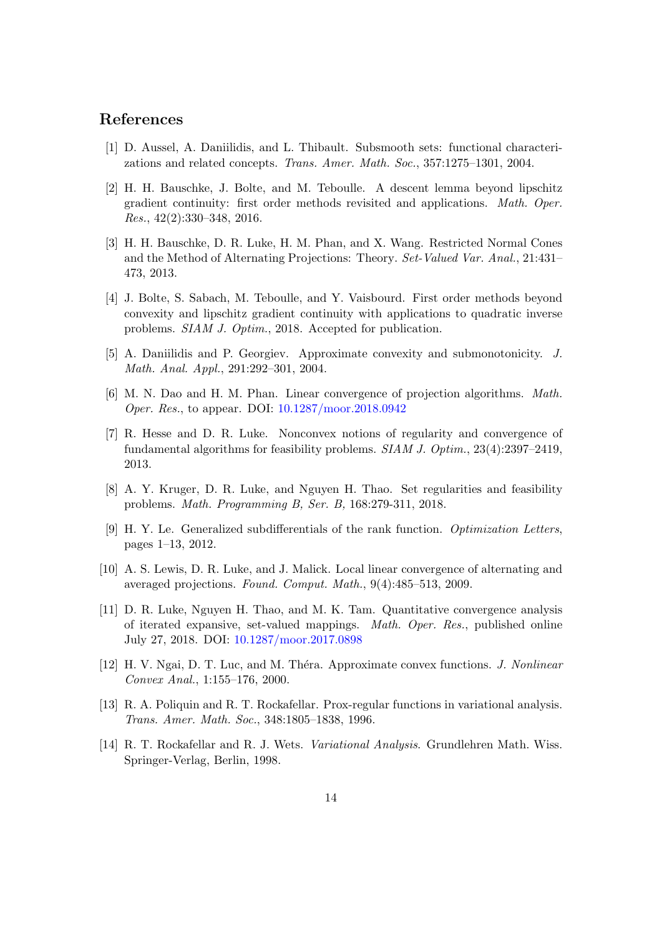### References

- <span id="page-13-1"></span>[1] D. Aussel, A. Daniilidis, and L. Thibault. Subsmooth sets: functional characterizations and related concepts. Trans. Amer. Math. Soc., 357:1275–1301, 2004.
- <span id="page-13-10"></span>[2] H. H. Bauschke, J. Bolte, and M. Teboulle. A descent lemma beyond lipschitz gradient continuity: first order methods revisited and applications. Math. Oper. Res., 42(2):330–348, 2016.
- <span id="page-13-3"></span>[3] H. H. Bauschke, D. R. Luke, H. M. Phan, and X. Wang. Restricted Normal Cones and the Method of Alternating Projections: Theory. Set-Valued Var. Anal., 21:431– 473, 2013.
- <span id="page-13-11"></span>[4] J. Bolte, S. Sabach, M. Teboulle, and Y. Vaisbourd. First order methods beyond convexity and lipschitz gradient continuity with applications to quadratic inverse problems. SIAM J. Optim., 2018. Accepted for publication.
- <span id="page-13-12"></span>[5] A. Daniilidis and P. Georgiev. Approximate convexity and submonotonicity. J. Math. Anal. Appl., 291:292–301, 2004.
- <span id="page-13-4"></span>[6] M. N. Dao and H. M. Phan. Linear convergence of projection algorithms. Math. Oper. Res., to appear. DOI: [10.1287/moor.2018.0942](https://doi.org/10.1287/moor.2018.0942)
- <span id="page-13-5"></span>[7] R. Hesse and D. R. Luke. Nonconvex notions of regularity and convergence of fundamental algorithms for feasibility problems. SIAM J. Optim., 23(4):2397–2419, 2013.
- <span id="page-13-8"></span>[8] A. Y. Kruger, D. R. Luke, and Nguyen H. Thao. Set regularities and feasibility problems. Math. Programming B, Ser. B, 168:279-311, 2018.
- <span id="page-13-13"></span>[9] H. Y. Le. Generalized subdifferentials of the rank function. Optimization Letters, pages 1–13, 2012.
- <span id="page-13-0"></span>[10] A. S. Lewis, D. R. Luke, and J. Malick. Local linear convergence of alternating and averaged projections. Found. Comput. Math., 9(4):485–513, 2009.
- <span id="page-13-6"></span>[11] D. R. Luke, Nguyen H. Thao, and M. K. Tam. Quantitative convergence analysis of iterated expansive, set-valued mappings. Math. Oper. Res., published online July 27, 2018. DOI: [10.1287/moor.2017.0898](https://doi.org/10.1287/moor.2017.0898)
- <span id="page-13-2"></span>[12] H. V. Ngai, D. T. Luc, and M. Théra. Approximate convex functions. *J. Nonlinear* Convex Anal., 1:155–176, 2000.
- <span id="page-13-9"></span>[13] R. A. Poliquin and R. T. Rockafellar. Prox-regular functions in variational analysis. Trans. Amer. Math. Soc., 348:1805–1838, 1996.
- <span id="page-13-7"></span>[14] R. T. Rockafellar and R. J. Wets. Variational Analysis. Grundlehren Math. Wiss. Springer-Verlag, Berlin, 1998.